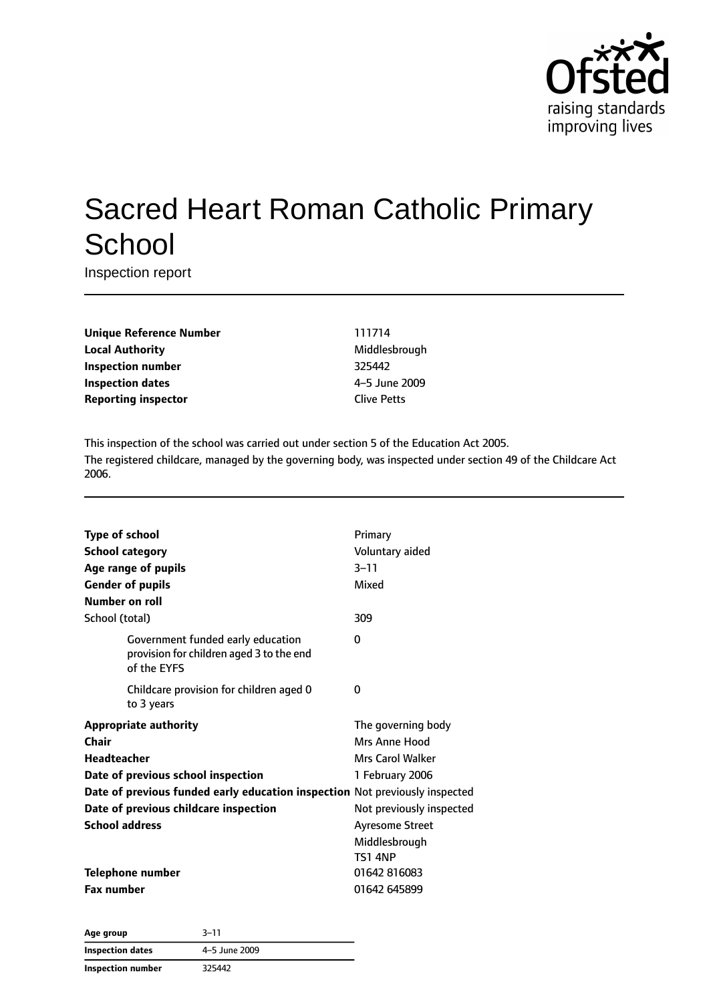

# Sacred Heart Roman Catholic Primary **School**

Inspection report

**Unique Reference Number** 111714 **Local Authority** Middlesbrough **Inspection number** 325442 **Inspection dates** 4–5 June 2009 **Reporting inspector** Clive Petts

This inspection of the school was carried out under section 5 of the Education Act 2005. The registered childcare, managed by the governing body, was inspected under section 49 of the Childcare Act 2006.

| <b>Type of school</b><br>Number on roll                                                                                                                                                                                                            | <b>School category</b><br>Age range of pupils<br><b>Gender of pupils</b>                     | Primary<br>Voluntary aided<br>$3 - 11$<br>Mixed                                                                                                                            |
|----------------------------------------------------------------------------------------------------------------------------------------------------------------------------------------------------------------------------------------------------|----------------------------------------------------------------------------------------------|----------------------------------------------------------------------------------------------------------------------------------------------------------------------------|
| School (total)                                                                                                                                                                                                                                     |                                                                                              | 309                                                                                                                                                                        |
|                                                                                                                                                                                                                                                    | Government funded early education<br>provision for children aged 3 to the end<br>of the EYFS | 0                                                                                                                                                                          |
|                                                                                                                                                                                                                                                    | Childcare provision for children aged 0<br>to 3 years                                        | 0                                                                                                                                                                          |
| <b>Appropriate authority</b><br><b>Chair</b><br>Headteacher<br>Date of previous school inspection<br>Date of previous funded early education inspection Not previously inspected<br>Date of previous childcare inspection<br><b>School address</b> |                                                                                              | The governing body<br>Mrs Anne Hood<br><b>Mrs Carol Walker</b><br>1 February 2006<br>Not previously inspected<br><b>Ayresome Street</b><br>Middlesbrough<br><b>TS1 4NP</b> |
| <b>Fax number</b>                                                                                                                                                                                                                                  | <b>Telephone number</b>                                                                      | 01642 816083<br>01642 645899                                                                                                                                               |
|                                                                                                                                                                                                                                                    |                                                                                              |                                                                                                                                                                            |

**Age group** 3–11 **Inspection dates** 4–5 June 2009 **Inspection number** 325442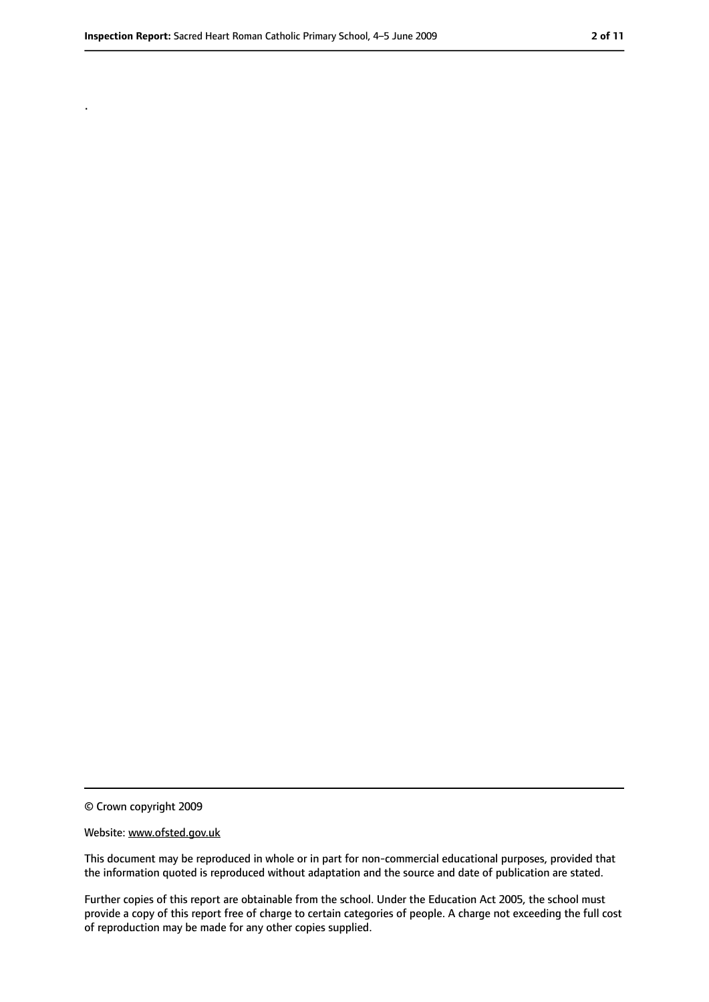.

<sup>©</sup> Crown copyright 2009

Website: www.ofsted.gov.uk

This document may be reproduced in whole or in part for non-commercial educational purposes, provided that the information quoted is reproduced without adaptation and the source and date of publication are stated.

Further copies of this report are obtainable from the school. Under the Education Act 2005, the school must provide a copy of this report free of charge to certain categories of people. A charge not exceeding the full cost of reproduction may be made for any other copies supplied.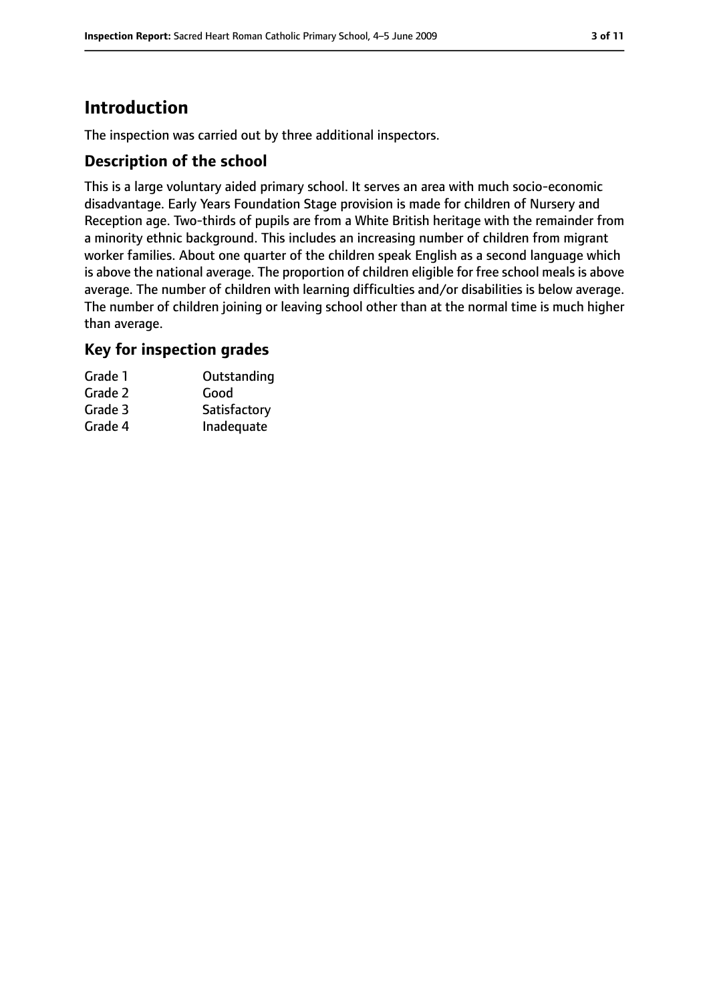# **Introduction**

The inspection was carried out by three additional inspectors.

## **Description of the school**

This is a large voluntary aided primary school. It serves an area with much socio-economic disadvantage. Early Years Foundation Stage provision is made for children of Nursery and Reception age. Two-thirds of pupils are from a White British heritage with the remainder from a minority ethnic background. This includes an increasing number of children from migrant worker families. About one quarter of the children speak English as a second language which is above the national average. The proportion of children eligible for free school meals is above average. The number of children with learning difficulties and/or disabilities is below average. The number of children joining or leaving school other than at the normal time is much higher than average.

#### **Key for inspection grades**

| Grade 1 | Outstanding  |
|---------|--------------|
| Grade 2 | Good         |
| Grade 3 | Satisfactory |
| Grade 4 | Inadequate   |
|         |              |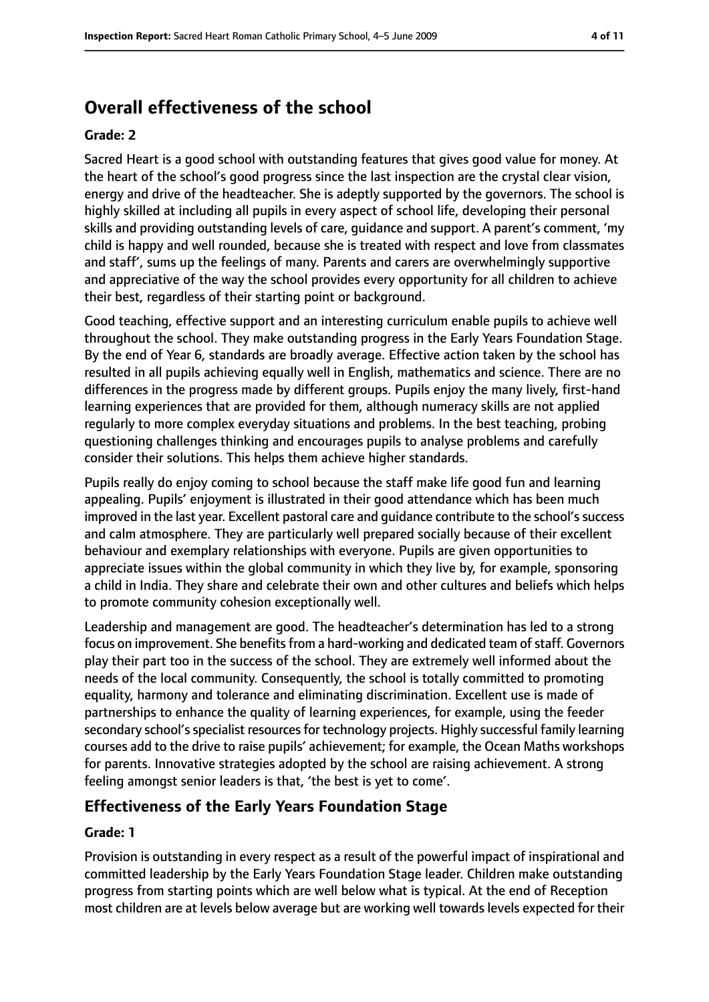# **Overall effectiveness of the school**

#### **Grade: 2**

Sacred Heart is a good school with outstanding features that gives good value for money. At the heart of the school's good progress since the last inspection are the crystal clear vision, energy and drive of the headteacher. She is adeptly supported by the governors. The school is highly skilled at including all pupils in every aspect of school life, developing their personal skills and providing outstanding levels of care, guidance and support. A parent's comment, 'my child is happy and well rounded, because she is treated with respect and love from classmates and staff', sums up the feelings of many. Parents and carers are overwhelmingly supportive and appreciative of the way the school provides every opportunity for all children to achieve their best, regardless of their starting point or background.

Good teaching, effective support and an interesting curriculum enable pupils to achieve well throughout the school. They make outstanding progress in the Early Years Foundation Stage. By the end of Year 6, standards are broadly average. Effective action taken by the school has resulted in all pupils achieving equally well in English, mathematics and science. There are no differences in the progress made by different groups. Pupils enjoy the many lively, first-hand learning experiences that are provided for them, although numeracy skills are not applied regularly to more complex everyday situations and problems. In the best teaching, probing questioning challenges thinking and encourages pupils to analyse problems and carefully consider their solutions. This helps them achieve higher standards.

Pupils really do enjoy coming to school because the staff make life good fun and learning appealing. Pupils' enjoyment is illustrated in their good attendance which has been much improved in the last year. Excellent pastoral care and quidance contribute to the school's success and calm atmosphere. They are particularly well prepared socially because of their excellent behaviour and exemplary relationships with everyone. Pupils are given opportunities to appreciate issues within the global community in which they live by, for example, sponsoring a child in India. They share and celebrate their own and other cultures and beliefs which helps to promote community cohesion exceptionally well.

Leadership and management are good. The headteacher's determination has led to a strong focus on improvement. She benefits from a hard-working and dedicated team of staff. Governors play their part too in the success of the school. They are extremely well informed about the needs of the local community. Consequently, the school is totally committed to promoting equality, harmony and tolerance and eliminating discrimination. Excellent use is made of partnerships to enhance the quality of learning experiences, for example, using the feeder secondary school's specialist resources for technology projects. Highly successful family learning courses add to the drive to raise pupils' achievement; for example, the Ocean Maths workshops for parents. Innovative strategies adopted by the school are raising achievement. A strong feeling amongst senior leaders is that, 'the best is yet to come'.

# **Effectiveness of the Early Years Foundation Stage**

#### **Grade: 1**

Provision is outstanding in every respect as a result of the powerful impact of inspirational and committed leadership by the Early Years Foundation Stage leader. Children make outstanding progress from starting points which are well below what is typical. At the end of Reception most children are at levels below average but are working well towards levels expected for their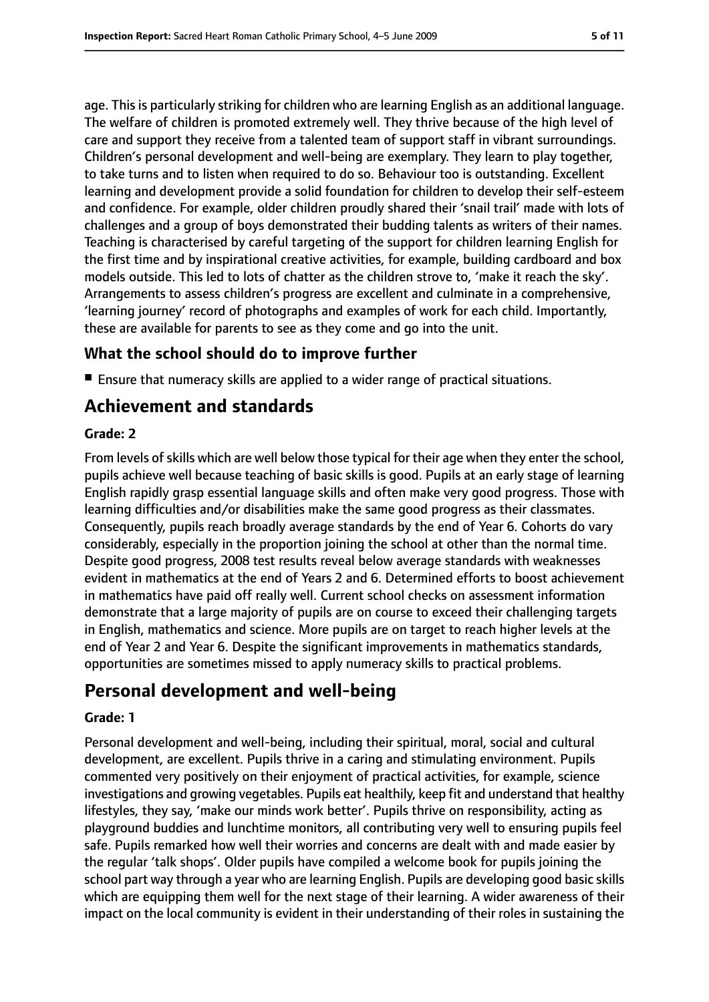age. This is particularly striking for children who are learning English as an additional language. The welfare of children is promoted extremely well. They thrive because of the high level of care and support they receive from a talented team of support staff in vibrant surroundings. Children's personal development and well-being are exemplary. They learn to play together, to take turns and to listen when required to do so. Behaviour too is outstanding. Excellent learning and development provide a solid foundation for children to develop their self-esteem and confidence. For example, older children proudly shared their 'snail trail' made with lots of challenges and a group of boys demonstrated their budding talents as writers of their names. Teaching is characterised by careful targeting of the support for children learning English for the first time and by inspirational creative activities, for example, building cardboard and box models outside. This led to lots of chatter as the children strove to, 'make it reach the sky'. Arrangements to assess children's progress are excellent and culminate in a comprehensive, 'learning journey' record of photographs and examples of work for each child. Importantly, these are available for parents to see as they come and go into the unit.

## **What the school should do to improve further**

■ Ensure that numeracy skills are applied to a wider range of practical situations.

# **Achievement and standards**

#### **Grade: 2**

From levels of skills which are well below those typical for their age when they enter the school, pupils achieve well because teaching of basic skills is good. Pupils at an early stage of learning English rapidly grasp essential language skills and often make very good progress. Those with learning difficulties and/or disabilities make the same good progress as their classmates. Consequently, pupils reach broadly average standards by the end of Year 6. Cohorts do vary considerably, especially in the proportion joining the school at other than the normal time. Despite good progress, 2008 test results reveal below average standards with weaknesses evident in mathematics at the end of Years 2 and 6. Determined efforts to boost achievement in mathematics have paid off really well. Current school checks on assessment information demonstrate that a large majority of pupils are on course to exceed their challenging targets in English, mathematics and science. More pupils are on target to reach higher levels at the end of Year 2 and Year 6. Despite the significant improvements in mathematics standards, opportunities are sometimes missed to apply numeracy skills to practical problems.

# **Personal development and well-being**

#### **Grade: 1**

Personal development and well-being, including their spiritual, moral, social and cultural development, are excellent. Pupils thrive in a caring and stimulating environment. Pupils commented very positively on their enjoyment of practical activities, for example, science investigations and growing vegetables. Pupils eat healthily, keep fit and understand that healthy lifestyles, they say, 'make our minds work better'. Pupils thrive on responsibility, acting as playground buddies and lunchtime monitors, all contributing very well to ensuring pupils feel safe. Pupils remarked how well their worries and concerns are dealt with and made easier by the regular 'talk shops'. Older pupils have compiled a welcome book for pupils joining the school part way through a year who are learning English. Pupils are developing good basic skills which are equipping them well for the next stage of their learning. A wider awareness of their impact on the local community is evident in their understanding of their roles in sustaining the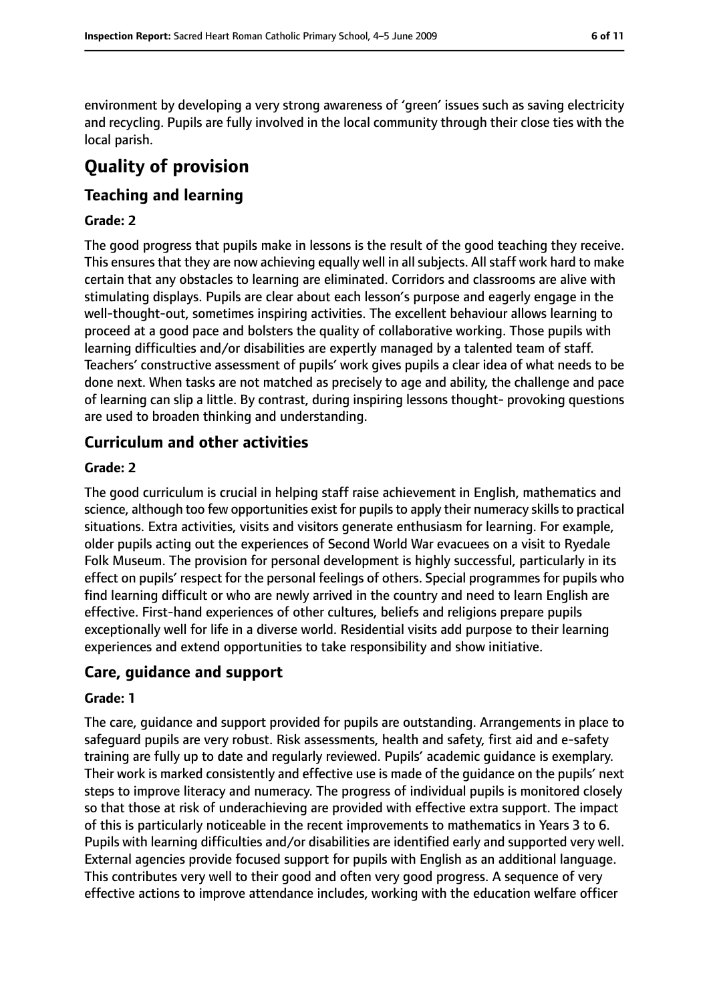environment by developing a very strong awareness of 'green' issues such as saving electricity and recycling. Pupils are fully involved in the local community through their close ties with the local parish.

# **Quality of provision**

# **Teaching and learning**

#### **Grade: 2**

The good progress that pupils make in lessons is the result of the good teaching they receive. This ensures that they are now achieving equally well in all subjects. All staff work hard to make certain that any obstacles to learning are eliminated. Corridors and classrooms are alive with stimulating displays. Pupils are clear about each lesson's purpose and eagerly engage in the well-thought-out, sometimes inspiring activities. The excellent behaviour allows learning to proceed at a good pace and bolsters the quality of collaborative working. Those pupils with learning difficulties and/or disabilities are expertly managed by a talented team of staff. Teachers' constructive assessment of pupils' work gives pupils a clear idea of what needs to be done next. When tasks are not matched as precisely to age and ability, the challenge and pace of learning can slip a little. By contrast, during inspiring lessons thought- provoking questions are used to broaden thinking and understanding.

## **Curriculum and other activities**

#### **Grade: 2**

The good curriculum is crucial in helping staff raise achievement in English, mathematics and science, although too few opportunities exist for pupils to apply their numeracy skills to practical situations. Extra activities, visits and visitors generate enthusiasm for learning. For example, older pupils acting out the experiences of Second World War evacuees on a visit to Ryedale Folk Museum. The provision for personal development is highly successful, particularly in its effect on pupils' respect for the personal feelings of others. Special programmes for pupils who find learning difficult or who are newly arrived in the country and need to learn English are effective. First-hand experiences of other cultures, beliefs and religions prepare pupils exceptionally well for life in a diverse world. Residential visits add purpose to their learning experiences and extend opportunities to take responsibility and show initiative.

#### **Care, guidance and support**

#### **Grade: 1**

The care, guidance and support provided for pupils are outstanding. Arrangements in place to safeguard pupils are very robust. Risk assessments, health and safety, first aid and e-safety training are fully up to date and regularly reviewed. Pupils' academic guidance is exemplary. Their work is marked consistently and effective use is made of the guidance on the pupils' next steps to improve literacy and numeracy. The progress of individual pupils is monitored closely so that those at risk of underachieving are provided with effective extra support. The impact of this is particularly noticeable in the recent improvements to mathematics in Years 3 to 6. Pupils with learning difficulties and/or disabilities are identified early and supported very well. External agencies provide focused support for pupils with English as an additional language. This contributes very well to their good and often very good progress. A sequence of very effective actions to improve attendance includes, working with the education welfare officer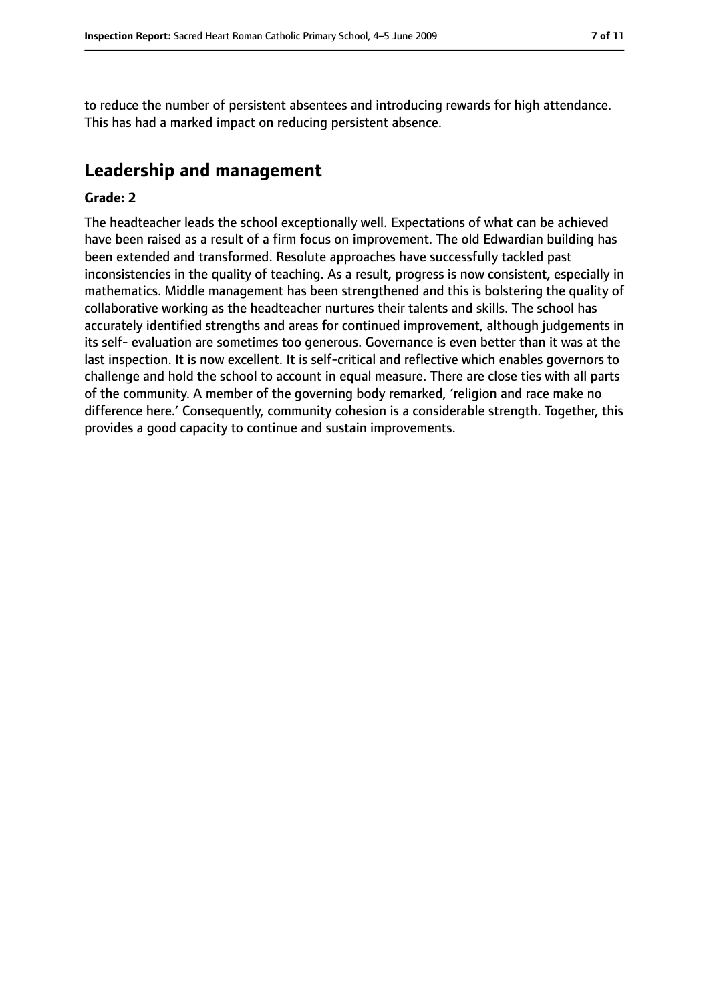to reduce the number of persistent absentees and introducing rewards for high attendance. This has had a marked impact on reducing persistent absence.

# **Leadership and management**

#### **Grade: 2**

The headteacher leads the school exceptionally well. Expectations of what can be achieved have been raised as a result of a firm focus on improvement. The old Edwardian building has been extended and transformed. Resolute approaches have successfully tackled past inconsistencies in the quality of teaching. As a result, progress is now consistent, especially in mathematics. Middle management has been strengthened and this is bolstering the quality of collaborative working as the headteacher nurtures their talents and skills. The school has accurately identified strengths and areas for continued improvement, although judgements in its self- evaluation are sometimes too generous. Governance is even better than it was at the last inspection. It is now excellent. It is self-critical and reflective which enables governors to challenge and hold the school to account in equal measure. There are close ties with all parts of the community. A member of the governing body remarked, 'religion and race make no difference here.' Consequently, community cohesion is a considerable strength. Together, this provides a good capacity to continue and sustain improvements.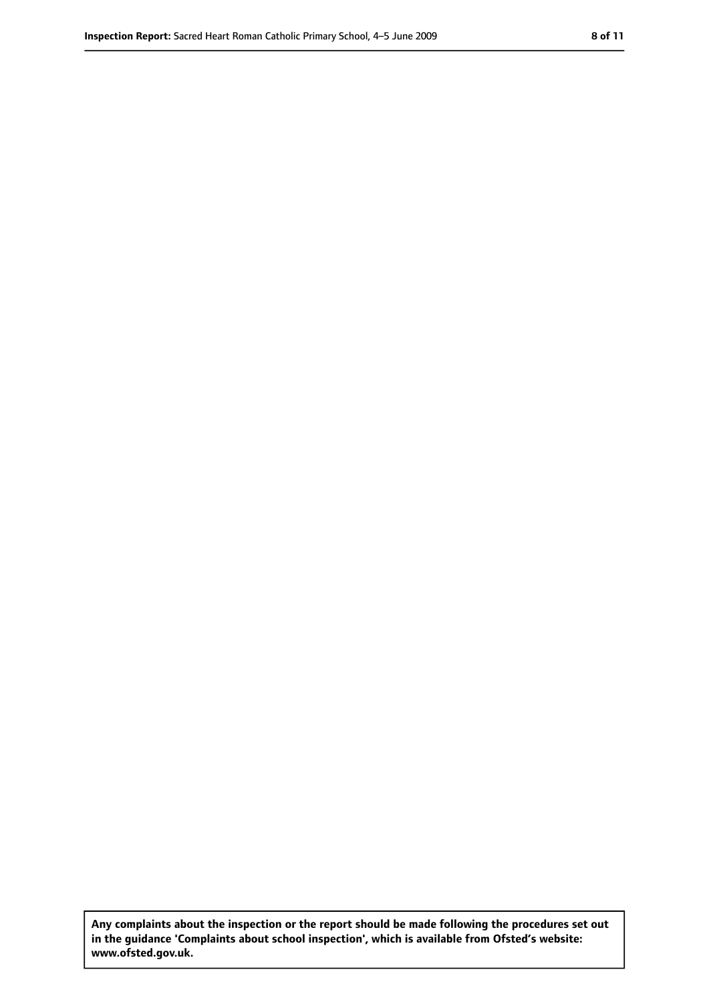**Any complaints about the inspection or the report should be made following the procedures set out in the guidance 'Complaints about school inspection', which is available from Ofsted's website: www.ofsted.gov.uk.**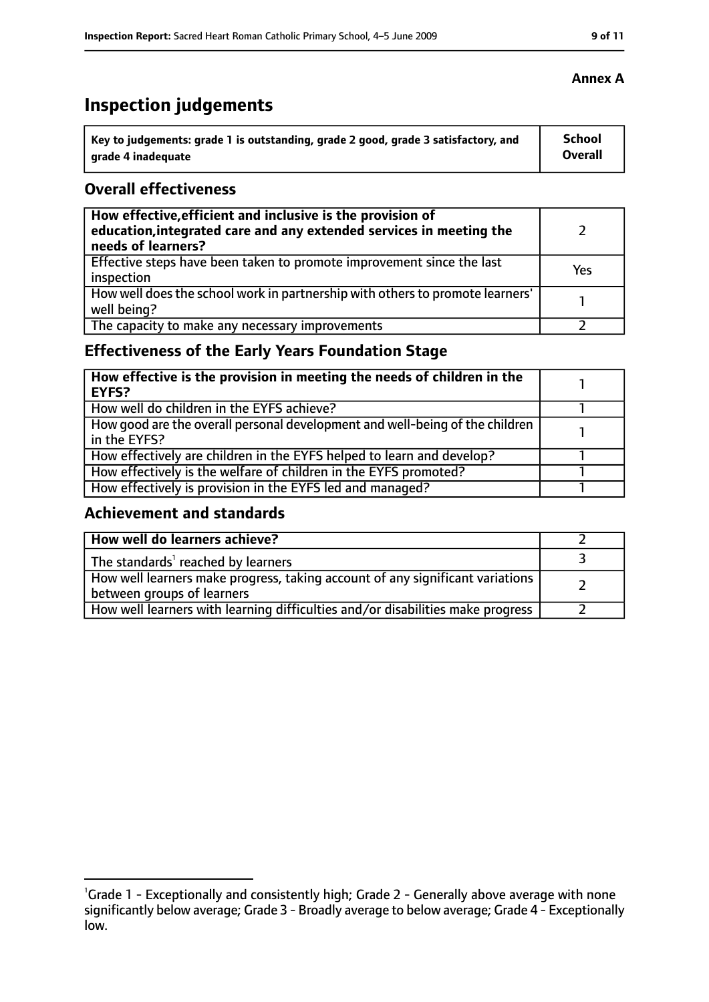# **Inspection judgements**

| Key to judgements: grade 1 is outstanding, grade 2 good, grade 3 satisfactory, and | <b>School</b> |
|------------------------------------------------------------------------------------|---------------|
| arade 4 inadequate                                                                 | Overall       |

## **Overall effectiveness**

| How effective, efficient and inclusive is the provision of<br>education, integrated care and any extended services in meeting the<br>needs of learners? |     |
|---------------------------------------------------------------------------------------------------------------------------------------------------------|-----|
| Effective steps have been taken to promote improvement since the last<br>inspection                                                                     | Yes |
| How well does the school work in partnership with others to promote learners'<br>well being?                                                            |     |
| The capacity to make any necessary improvements                                                                                                         |     |

# **Effectiveness of the Early Years Foundation Stage**

| How effective is the provision in meeting the needs of children in the<br>l EYFS?            |  |
|----------------------------------------------------------------------------------------------|--|
| How well do children in the EYFS achieve?                                                    |  |
| How good are the overall personal development and well-being of the children<br>in the EYFS? |  |
| How effectively are children in the EYFS helped to learn and develop?                        |  |
| How effectively is the welfare of children in the EYFS promoted?                             |  |
| How effectively is provision in the EYFS led and managed?                                    |  |

# **Achievement and standards**

| How well do learners achieve?                                                                               |  |
|-------------------------------------------------------------------------------------------------------------|--|
| The standards <sup>1</sup> reached by learners                                                              |  |
| How well learners make progress, taking account of any significant variations<br>between groups of learners |  |
| How well learners with learning difficulties and/or disabilities make progress                              |  |

# **Annex A**

<sup>&</sup>lt;sup>1</sup>Grade 1 - Exceptionally and consistently high; Grade 2 - Generally above average with none significantly below average; Grade 3 - Broadly average to below average; Grade 4 - Exceptionally

low.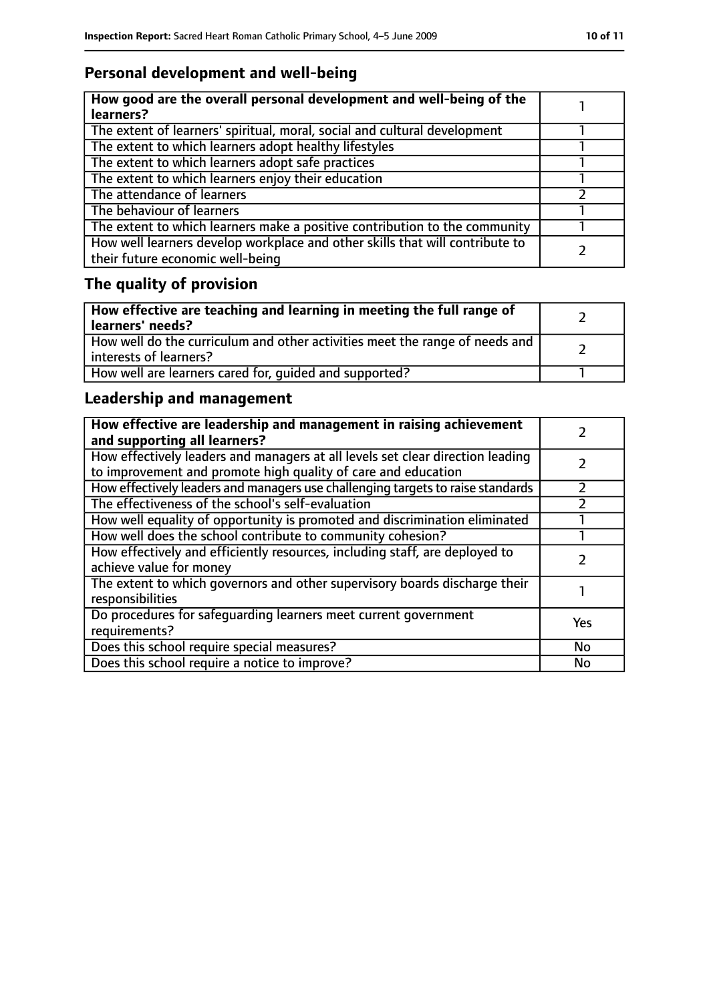# **Personal development and well-being**

| How good are the overall personal development and well-being of the<br>learners?                                 |  |
|------------------------------------------------------------------------------------------------------------------|--|
| The extent of learners' spiritual, moral, social and cultural development                                        |  |
| The extent to which learners adopt healthy lifestyles                                                            |  |
| The extent to which learners adopt safe practices                                                                |  |
| The extent to which learners enjoy their education                                                               |  |
| The attendance of learners                                                                                       |  |
| The behaviour of learners                                                                                        |  |
| The extent to which learners make a positive contribution to the community                                       |  |
| How well learners develop workplace and other skills that will contribute to<br>their future economic well-being |  |

# **The quality of provision**

| How effective are teaching and learning in meeting the full range of<br>learners' needs?              |  |
|-------------------------------------------------------------------------------------------------------|--|
| How well do the curriculum and other activities meet the range of needs and<br>interests of learners? |  |
| How well are learners cared for, quided and supported?                                                |  |

# **Leadership and management**

| How effective are leadership and management in raising achievement<br>and supporting all learners?                                              |     |
|-------------------------------------------------------------------------------------------------------------------------------------------------|-----|
| How effectively leaders and managers at all levels set clear direction leading<br>to improvement and promote high quality of care and education |     |
| How effectively leaders and managers use challenging targets to raise standards                                                                 |     |
| The effectiveness of the school's self-evaluation                                                                                               |     |
| How well equality of opportunity is promoted and discrimination eliminated                                                                      |     |
| How well does the school contribute to community cohesion?                                                                                      |     |
| How effectively and efficiently resources, including staff, are deployed to<br>achieve value for money                                          |     |
| The extent to which governors and other supervisory boards discharge their<br>responsibilities                                                  |     |
| Do procedures for safequarding learners meet current government<br>requirements?                                                                | Yes |
| Does this school require special measures?                                                                                                      | No  |
| Does this school require a notice to improve?                                                                                                   | No  |